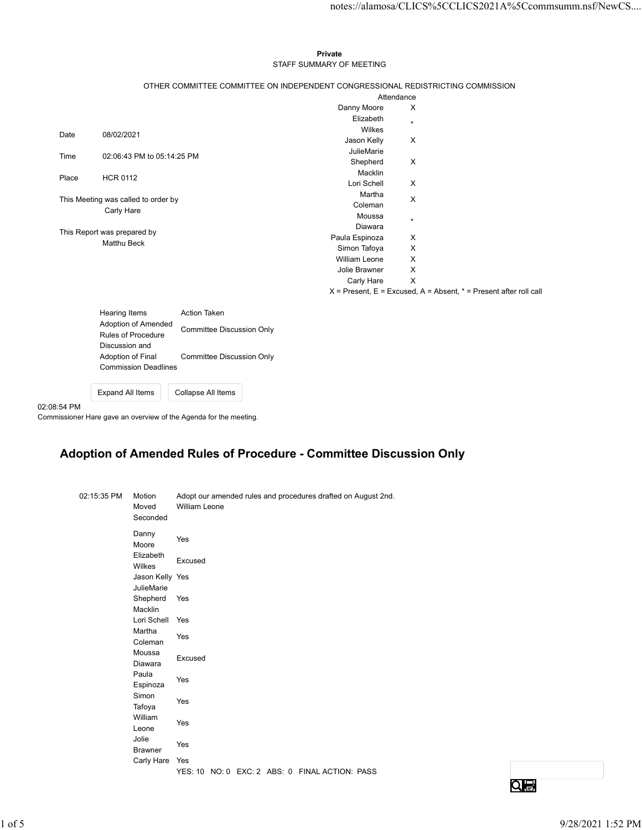## Private STAFF SUMMARY OF MEETING

|          |                                            |                             |                                                                 |                                                                                 |                                |                           | notes://alamosa/CLICS%5CCLICS2021A%5Ccommsumm.nsf/NewCS                   |  |
|----------|--------------------------------------------|-----------------------------|-----------------------------------------------------------------|---------------------------------------------------------------------------------|--------------------------------|---------------------------|---------------------------------------------------------------------------|--|
|          |                                            |                             |                                                                 | Private                                                                         |                                |                           |                                                                           |  |
|          |                                            |                             |                                                                 | STAFF SUMMARY OF MEETING                                                        |                                |                           |                                                                           |  |
|          |                                            |                             |                                                                 | OTHER COMMITTEE COMMITTEE ON INDEPENDENT CONGRESSIONAL REDISTRICTING COMMISSION |                                |                           |                                                                           |  |
|          |                                            |                             |                                                                 |                                                                                 |                                | Attendance                |                                                                           |  |
|          |                                            |                             |                                                                 |                                                                                 | Danny Moore<br>Elizabeth       | $\boldsymbol{\mathsf{X}}$ |                                                                           |  |
|          |                                            |                             |                                                                 |                                                                                 | Wilkes                         | $\star$                   |                                                                           |  |
| Date     | 08/02/2021                                 |                             |                                                                 |                                                                                 | Jason Kelly                    | X                         |                                                                           |  |
| Time     |                                            | 02:06:43 PM to 05:14:25 PM  |                                                                 |                                                                                 | JulieMarie<br>Shepherd         | X                         |                                                                           |  |
|          |                                            |                             |                                                                 |                                                                                 | Macklin                        |                           |                                                                           |  |
| Place    | <b>HCR 0112</b>                            |                             |                                                                 |                                                                                 | Lori Schell                    | $\boldsymbol{\mathsf{X}}$ |                                                                           |  |
|          | This Meeting was called to order by        |                             |                                                                 |                                                                                 | Martha                         | X                         |                                                                           |  |
|          | Carly Hare                                 |                             |                                                                 |                                                                                 | Coleman<br>Moussa              |                           |                                                                           |  |
|          |                                            |                             |                                                                 |                                                                                 | Diawara                        | $\star$                   |                                                                           |  |
|          | This Report was prepared by<br>Matthu Beck |                             |                                                                 |                                                                                 | Paula Espinoza                 | X                         |                                                                           |  |
|          |                                            |                             |                                                                 |                                                                                 | Simon Tafoya                   | X                         |                                                                           |  |
|          |                                            |                             |                                                                 |                                                                                 | William Leone<br>Jolie Brawner | X<br>X                    |                                                                           |  |
|          |                                            |                             |                                                                 |                                                                                 | Carly Hare                     | $\mathsf{X}$              |                                                                           |  |
|          |                                            |                             |                                                                 |                                                                                 |                                |                           | $X =$ Present, $E =$ Excused, $A =$ Absent, $* =$ Present after roll call |  |
|          | Hearing Items                              |                             | Action Taken                                                    |                                                                                 |                                |                           |                                                                           |  |
|          |                                            | Adoption of Amended         | <b>Committee Discussion Only</b>                                |                                                                                 |                                |                           |                                                                           |  |
|          | Rules of Procedure<br>Discussion and       |                             |                                                                 |                                                                                 |                                |                           |                                                                           |  |
|          | Adoption of Final                          |                             | Committee Discussion Only                                       |                                                                                 |                                |                           |                                                                           |  |
|          |                                            | <b>Commission Deadlines</b> |                                                                 |                                                                                 |                                |                           |                                                                           |  |
|          |                                            |                             |                                                                 |                                                                                 |                                |                           |                                                                           |  |
|          | Expand All Items                           |                             | Collapse All Items                                              |                                                                                 |                                |                           |                                                                           |  |
| 08:54 PM |                                            |                             | nmissioner Hare gave an overview of the Agenda for the meeting. |                                                                                 |                                |                           |                                                                           |  |
|          |                                            |                             |                                                                 |                                                                                 |                                |                           |                                                                           |  |
|          |                                            |                             |                                                                 |                                                                                 |                                |                           |                                                                           |  |
|          |                                            |                             |                                                                 | Adoption of Amended Rules of Procedure - Committee Discussion Only              |                                |                           |                                                                           |  |
|          |                                            |                             |                                                                 |                                                                                 |                                |                           |                                                                           |  |
|          |                                            |                             |                                                                 |                                                                                 |                                |                           |                                                                           |  |
|          | 02:15:35 PM                                | Motion                      |                                                                 | Adopt our amended rules and procedures drafted on August 2nd.                   |                                |                           |                                                                           |  |
|          |                                            | Moved                       | William Leone                                                   |                                                                                 |                                |                           |                                                                           |  |
|          |                                            | Seconded                    |                                                                 |                                                                                 |                                |                           |                                                                           |  |
|          |                                            | Danny                       | Yes                                                             |                                                                                 |                                |                           |                                                                           |  |
|          |                                            | Moore<br>Elizabeth          |                                                                 |                                                                                 |                                |                           |                                                                           |  |
|          |                                            | Wilkes                      | Excused                                                         |                                                                                 |                                |                           |                                                                           |  |
|          |                                            |                             |                                                                 |                                                                                 |                                |                           |                                                                           |  |

## Adoption of Amended Rules of Procedure - Committee Discussion Only

|             | Hearing Items     |                             | Action Taken                                                      |  |                                                                    |                 |                   |  |
|-------------|-------------------|-----------------------------|-------------------------------------------------------------------|--|--------------------------------------------------------------------|-----------------|-------------------|--|
|             |                   | Adoption of Amended         |                                                                   |  |                                                                    |                 |                   |  |
|             |                   | Rules of Procedure          | <b>Committee Discussion Only</b>                                  |  |                                                                    |                 |                   |  |
|             | Discussion and    |                             |                                                                   |  |                                                                    |                 |                   |  |
|             | Adoption of Final | <b>Commission Deadlines</b> | <b>Committee Discussion Only</b>                                  |  |                                                                    |                 |                   |  |
|             |                   |                             |                                                                   |  |                                                                    |                 |                   |  |
|             | Expand All Items  |                             | Collapse All Items                                                |  |                                                                    |                 |                   |  |
| 02:08:54 PM |                   |                             |                                                                   |  |                                                                    |                 |                   |  |
|             |                   |                             | Commissioner Hare gave an overview of the Agenda for the meeting. |  |                                                                    |                 |                   |  |
|             |                   |                             |                                                                   |  |                                                                    |                 |                   |  |
|             |                   |                             |                                                                   |  | Adoption of Amended Rules of Procedure - Committee Discussion Only |                 |                   |  |
|             |                   |                             |                                                                   |  |                                                                    |                 |                   |  |
|             |                   |                             |                                                                   |  |                                                                    |                 |                   |  |
|             | 02:15:35 PM       | Motion                      | Adopt our amended rules and procedures drafted on August 2nd.     |  |                                                                    |                 |                   |  |
|             |                   | Moved                       | William Leone                                                     |  |                                                                    |                 |                   |  |
|             |                   | Seconded                    |                                                                   |  |                                                                    |                 |                   |  |
|             |                   | Danny<br>Moore              | Yes                                                               |  |                                                                    |                 |                   |  |
|             |                   | Elizabeth                   |                                                                   |  |                                                                    |                 |                   |  |
|             |                   | Wilkes                      | Excused                                                           |  |                                                                    |                 |                   |  |
|             |                   | Jason Kelly Yes             |                                                                   |  |                                                                    |                 |                   |  |
|             |                   | JulieMarie<br>Shepherd Yes  |                                                                   |  |                                                                    |                 |                   |  |
|             |                   | Macklin                     |                                                                   |  |                                                                    |                 |                   |  |
|             |                   | Lori Schell                 | Yes                                                               |  |                                                                    |                 |                   |  |
|             |                   | Martha                      | Yes                                                               |  |                                                                    |                 |                   |  |
|             |                   | Coleman<br>Moussa           |                                                                   |  |                                                                    |                 |                   |  |
|             |                   | Diawara                     | Excused                                                           |  |                                                                    |                 |                   |  |
|             |                   | Paula                       | Yes                                                               |  |                                                                    |                 |                   |  |
|             |                   | Espinoza<br>Simon           |                                                                   |  |                                                                    |                 |                   |  |
|             |                   | Tafoya                      | Yes                                                               |  |                                                                    |                 |                   |  |
|             |                   | William                     | Yes                                                               |  |                                                                    |                 |                   |  |
|             |                   | Leone<br>Jolie              |                                                                   |  |                                                                    |                 |                   |  |
|             |                   | Brawner                     | Yes                                                               |  |                                                                    |                 |                   |  |
|             |                   | Carly Hare Yes              |                                                                   |  |                                                                    |                 |                   |  |
|             |                   |                             | YES: 10 NO: 0 EXC: 2 ABS: 0 FINAL ACTION: PASS                    |  |                                                                    |                 |                   |  |
|             |                   |                             |                                                                   |  |                                                                    | $Q_{\bigoplus}$ |                   |  |
|             |                   |                             |                                                                   |  |                                                                    |                 |                   |  |
|             |                   |                             |                                                                   |  |                                                                    |                 | 9/28/2021 1:52 PM |  |
|             |                   |                             |                                                                   |  |                                                                    |                 |                   |  |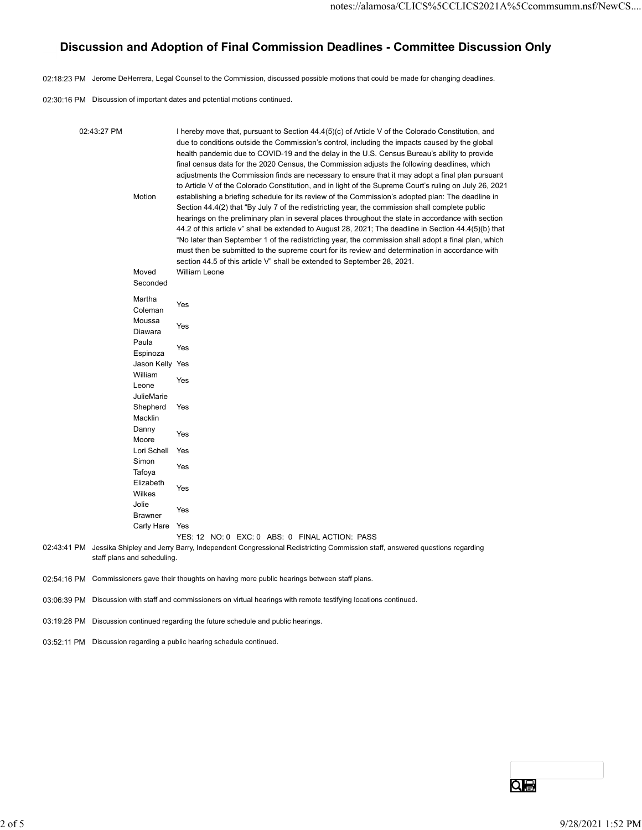## Discussion and Adoption of Final Commission Deadlines - Committee Discussion Only

|                                                                                                                                                    |                                                                                                                                                  | 02:18:23 PM Jerome DeHerrera, Legal Counsel to the Commission, discussed possible motions that could be made for changing deadlines.                                                                                                                                                                                                                                                                                                                                                                                                                                                                                                                                                                                                                                                                                                                                                                                                                                                                                                                                                                                                                                                                                                                                                                                                                                                                                   |  |
|----------------------------------------------------------------------------------------------------------------------------------------------------|--------------------------------------------------------------------------------------------------------------------------------------------------|------------------------------------------------------------------------------------------------------------------------------------------------------------------------------------------------------------------------------------------------------------------------------------------------------------------------------------------------------------------------------------------------------------------------------------------------------------------------------------------------------------------------------------------------------------------------------------------------------------------------------------------------------------------------------------------------------------------------------------------------------------------------------------------------------------------------------------------------------------------------------------------------------------------------------------------------------------------------------------------------------------------------------------------------------------------------------------------------------------------------------------------------------------------------------------------------------------------------------------------------------------------------------------------------------------------------------------------------------------------------------------------------------------------------|--|
|                                                                                                                                                    |                                                                                                                                                  | 02:30:16 PM Discussion of important dates and potential motions continued.                                                                                                                                                                                                                                                                                                                                                                                                                                                                                                                                                                                                                                                                                                                                                                                                                                                                                                                                                                                                                                                                                                                                                                                                                                                                                                                                             |  |
|                                                                                                                                                    |                                                                                                                                                  |                                                                                                                                                                                                                                                                                                                                                                                                                                                                                                                                                                                                                                                                                                                                                                                                                                                                                                                                                                                                                                                                                                                                                                                                                                                                                                                                                                                                                        |  |
| 02:43:27 PM<br>Motion<br>Moved<br>Martha<br>Moussa<br>Paula<br>William<br>Leone<br>Macklin<br>Danny<br>Moore<br>Simon<br>Tafoya<br>Wilkes<br>Jolie | Seconded<br>Coleman<br>Diawara<br>Espinoza<br>Jason Kelly Yes<br>JulieMarie<br>Shepherd<br>Lori Schell<br>Elizabeth<br>Brawner<br>Carly Hare Yes | I hereby move that, pursuant to Section 44.4(5)(c) of Article V of the Colorado Constitution, and<br>due to conditions outside the Commission's control, including the impacts caused by the global<br>health pandemic due to COVID-19 and the delay in the U.S. Census Bureau's ability to provide<br>final census data for the 2020 Census, the Commission adjusts the following deadlines, which<br>adjustments the Commission finds are necessary to ensure that it may adopt a final plan pursuant<br>to Article V of the Colorado Constitution, and in light of the Supreme Court's ruling on July 26, 2021<br>establishing a briefing schedule for its review of the Commission's adopted plan: The deadline in<br>Section 44.4(2) that "By July 7 of the redistricting year, the commission shall complete public<br>hearings on the preliminary plan in several places throughout the state in accordance with section<br>44.2 of this article v" shall be extended to August 28, 2021; The deadline in Section 44.4(5)(b) that<br>"No later than September 1 of the redistricting year, the commission shall adopt a final plan, which<br>must then be submitted to the supreme court for its review and determination in accordance with<br>section 44.5 of this article V" shall be extended to September 28, 2021.<br>William Leone<br>Yes<br>Yes<br>Yes<br>Yes<br>Yes<br>Yes<br>Yes<br>Yes<br>Yes<br>Yes |  |
| staff plans and scheduling.                                                                                                                        |                                                                                                                                                  | YES: 12 NO: 0 EXC: 0 ABS: 0 FINAL ACTION: PASS<br>02:43:41 PM Jessika Shipley and Jerry Barry, Independent Congressional Redistricting Commission staff, answered questions regarding                                                                                                                                                                                                                                                                                                                                                                                                                                                                                                                                                                                                                                                                                                                                                                                                                                                                                                                                                                                                                                                                                                                                                                                                                                  |  |
|                                                                                                                                                    |                                                                                                                                                  | 02:54:16 PM Commissioners gave their thoughts on having more public hearings between staff plans.                                                                                                                                                                                                                                                                                                                                                                                                                                                                                                                                                                                                                                                                                                                                                                                                                                                                                                                                                                                                                                                                                                                                                                                                                                                                                                                      |  |
|                                                                                                                                                    |                                                                                                                                                  | 03:06:39 PM Discussion with staff and commissioners on virtual hearings with remote testifying locations continued.                                                                                                                                                                                                                                                                                                                                                                                                                                                                                                                                                                                                                                                                                                                                                                                                                                                                                                                                                                                                                                                                                                                                                                                                                                                                                                    |  |
|                                                                                                                                                    |                                                                                                                                                  | 03:19:28 PM Discussion continued regarding the future schedule and public hearings.                                                                                                                                                                                                                                                                                                                                                                                                                                                                                                                                                                                                                                                                                                                                                                                                                                                                                                                                                                                                                                                                                                                                                                                                                                                                                                                                    |  |
| 03:52:11 PM Discussion regarding a public hearing schedule continued.                                                                              |                                                                                                                                                  |                                                                                                                                                                                                                                                                                                                                                                                                                                                                                                                                                                                                                                                                                                                                                                                                                                                                                                                                                                                                                                                                                                                                                                                                                                                                                                                                                                                                                        |  |
|                                                                                                                                                    |                                                                                                                                                  |                                                                                                                                                                                                                                                                                                                                                                                                                                                                                                                                                                                                                                                                                                                                                                                                                                                                                                                                                                                                                                                                                                                                                                                                                                                                                                                                                                                                                        |  |
|                                                                                                                                                    |                                                                                                                                                  |                                                                                                                                                                                                                                                                                                                                                                                                                                                                                                                                                                                                                                                                                                                                                                                                                                                                                                                                                                                                                                                                                                                                                                                                                                                                                                                                                                                                                        |  |
|                                                                                                                                                    |                                                                                                                                                  |                                                                                                                                                                                                                                                                                                                                                                                                                                                                                                                                                                                                                                                                                                                                                                                                                                                                                                                                                                                                                                                                                                                                                                                                                                                                                                                                                                                                                        |  |
|                                                                                                                                                    |                                                                                                                                                  |                                                                                                                                                                                                                                                                                                                                                                                                                                                                                                                                                                                                                                                                                                                                                                                                                                                                                                                                                                                                                                                                                                                                                                                                                                                                                                                                                                                                                        |  |
|                                                                                                                                                    |                                                                                                                                                  |                                                                                                                                                                                                                                                                                                                                                                                                                                                                                                                                                                                                                                                                                                                                                                                                                                                                                                                                                                                                                                                                                                                                                                                                                                                                                                                                                                                                                        |  |
|                                                                                                                                                    |                                                                                                                                                  |                                                                                                                                                                                                                                                                                                                                                                                                                                                                                                                                                                                                                                                                                                                                                                                                                                                                                                                                                                                                                                                                                                                                                                                                                                                                                                                                                                                                                        |  |
|                                                                                                                                                    |                                                                                                                                                  | Qe                                                                                                                                                                                                                                                                                                                                                                                                                                                                                                                                                                                                                                                                                                                                                                                                                                                                                                                                                                                                                                                                                                                                                                                                                                                                                                                                                                                                                     |  |
|                                                                                                                                                    |                                                                                                                                                  |                                                                                                                                                                                                                                                                                                                                                                                                                                                                                                                                                                                                                                                                                                                                                                                                                                                                                                                                                                                                                                                                                                                                                                                                                                                                                                                                                                                                                        |  |
|                                                                                                                                                    |                                                                                                                                                  | 9/28/2021 1:52 PM                                                                                                                                                                                                                                                                                                                                                                                                                                                                                                                                                                                                                                                                                                                                                                                                                                                                                                                                                                                                                                                                                                                                                                                                                                                                                                                                                                                                      |  |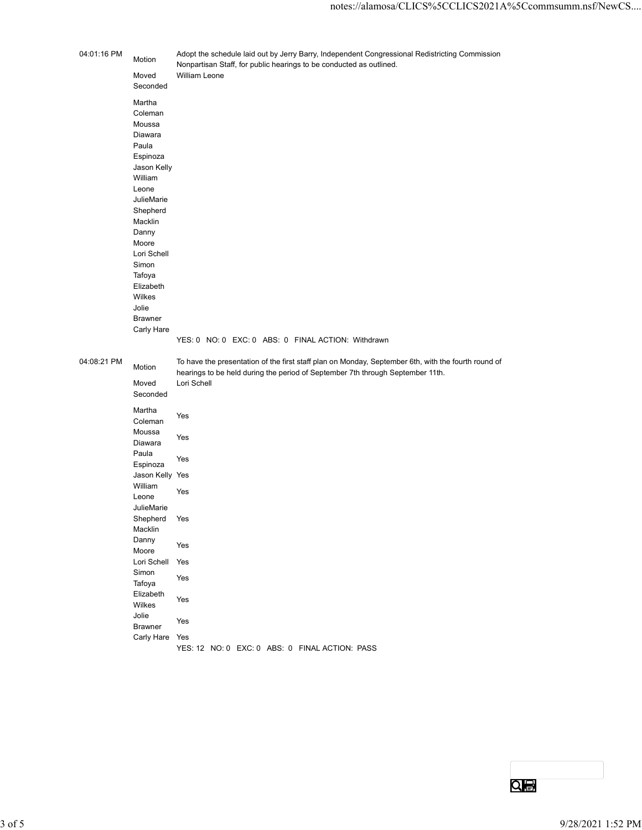| 04:01:16 PM<br>Adopt the schedule laid out by Jerry Barry, Independent Congressional Redistricting Commission<br>Motion<br>Nonpartisan Staff, for public hearings to be conducted as outlined.<br>William Leone<br>Moved<br>Seconded<br>Martha<br>Coleman<br>Moussa<br>Diawara<br>Paula<br>Espinoza<br>Jason Kelly<br>William<br>Leone<br>JulieMarie<br>Shepherd<br>Macklin<br>Danny<br>Moore<br>Lori Schell<br>Simon<br>Tafoya<br>Elizabeth<br>Wilkes<br>Jolie<br>Brawner<br>Carly Hare<br>YES: 0 NO: 0 EXC: 0 ABS: 0 FINAL ACTION: Withdrawn<br>04:08:21 PM<br>To have the presentation of the first staff plan on Monday, September 6th, with the fourth round of<br>Motion<br>hearings to be held during the period of September 7th through September 11th.<br>Lori Schell<br>Moved<br>Seconded<br>Martha<br>Yes<br>Coleman<br>Moussa<br>Yes<br>Diawara<br>Paula<br>Yes<br>Espinoza<br>Jason Kelly Yes<br>William<br>Yes<br>Leone<br>JulieMarie<br>Shepherd Yes<br>Macklin<br>Danny<br>Yes<br>Moore<br>Lori Schell Yes<br>Simon<br>Yes<br>Tafoya<br>Elizabeth<br>Yes<br>Wilkes<br>Jolie<br>Yes<br>Brawner<br>Carly Hare Yes<br>YES: 12 NO: 0 EXC: 0 ABS: 0 FINAL ACTION: PASS |            |  | notes://alamosa/CLICS%5CCLICS2021A%5Ccommsumm.nsf/NewCS |                   |
|------------------------------------------------------------------------------------------------------------------------------------------------------------------------------------------------------------------------------------------------------------------------------------------------------------------------------------------------------------------------------------------------------------------------------------------------------------------------------------------------------------------------------------------------------------------------------------------------------------------------------------------------------------------------------------------------------------------------------------------------------------------------------------------------------------------------------------------------------------------------------------------------------------------------------------------------------------------------------------------------------------------------------------------------------------------------------------------------------------------------------------------------------------------------------------|------------|--|---------------------------------------------------------|-------------------|
|                                                                                                                                                                                                                                                                                                                                                                                                                                                                                                                                                                                                                                                                                                                                                                                                                                                                                                                                                                                                                                                                                                                                                                                    |            |  |                                                         |                   |
|                                                                                                                                                                                                                                                                                                                                                                                                                                                                                                                                                                                                                                                                                                                                                                                                                                                                                                                                                                                                                                                                                                                                                                                    |            |  |                                                         |                   |
|                                                                                                                                                                                                                                                                                                                                                                                                                                                                                                                                                                                                                                                                                                                                                                                                                                                                                                                                                                                                                                                                                                                                                                                    |            |  |                                                         |                   |
|                                                                                                                                                                                                                                                                                                                                                                                                                                                                                                                                                                                                                                                                                                                                                                                                                                                                                                                                                                                                                                                                                                                                                                                    | $3$ of $5$ |  |                                                         | 9/28/2021 1:52 PM |

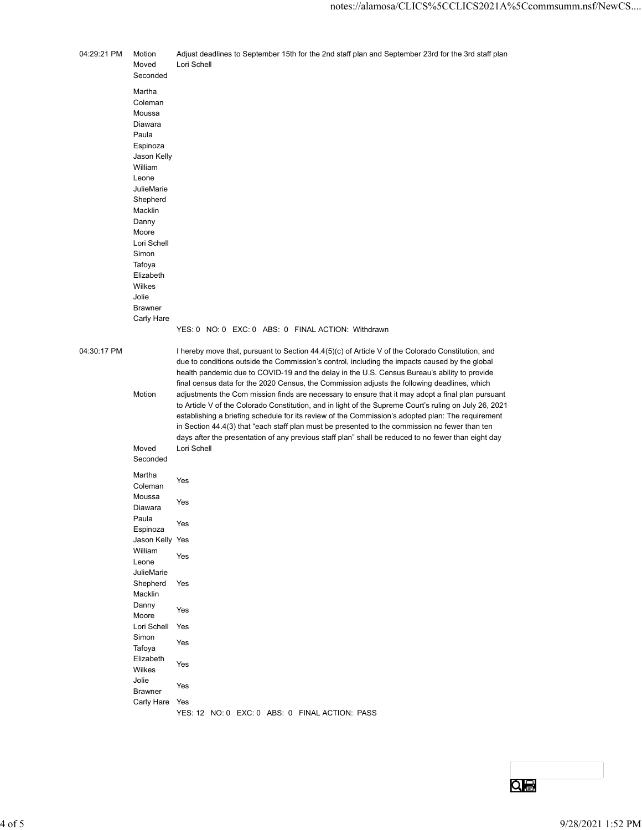|             |                             | notes://alamosa/CLICS%5CCLICS2021A%5Ccommsumm.nsf/NewCS                                                                                                                                                     |                   |
|-------------|-----------------------------|-------------------------------------------------------------------------------------------------------------------------------------------------------------------------------------------------------------|-------------------|
| 04:29:21 PM | Motion<br>Moved<br>Seconded | Adjust deadlines to September 15th for the 2nd staff plan and September 23rd for the 3rd staff plan<br>Lori Schell                                                                                          |                   |
|             | Martha                      |                                                                                                                                                                                                             |                   |
|             | Coleman<br>Moussa           |                                                                                                                                                                                                             |                   |
|             | Diawara<br>Paula            |                                                                                                                                                                                                             |                   |
|             | Espinoza<br>Jason Kelly     |                                                                                                                                                                                                             |                   |
|             | William<br>Leone            |                                                                                                                                                                                                             |                   |
|             | JulieMarie                  |                                                                                                                                                                                                             |                   |
|             | Shepherd<br>Macklin         |                                                                                                                                                                                                             |                   |
|             | Danny<br>Moore              |                                                                                                                                                                                                             |                   |
|             | Lori Schell<br>Simon        |                                                                                                                                                                                                             |                   |
|             | Tafoya<br>Elizabeth         |                                                                                                                                                                                                             |                   |
|             | Wilkes<br>Jolie             |                                                                                                                                                                                                             |                   |
|             | <b>Brawner</b>              |                                                                                                                                                                                                             |                   |
|             | Carly Hare                  | YES: 0 NO: 0 EXC: 0 ABS: 0 FINAL ACTION: Withdrawn                                                                                                                                                          |                   |
| 04:30:17 PM |                             | I hereby move that, pursuant to Section 44.4(5)(c) of Article V of the Colorado Constitution, and                                                                                                           |                   |
|             |                             | due to conditions outside the Commission's control, including the impacts caused by the global<br>health pandemic due to COVID-19 and the delay in the U.S. Census Bureau's ability to provide              |                   |
|             | Motion                      | final census data for the 2020 Census, the Commission adjusts the following deadlines, which<br>adjustments the Com mission finds are necessary to ensure that it may adopt a final plan pursuant           |                   |
|             |                             | to Article V of the Colorado Constitution, and in light of the Supreme Court's ruling on July 26, 2021<br>establishing a briefing schedule for its review of the Commission's adopted plan: The requirement |                   |
|             |                             | in Section 44.4(3) that "each staff plan must be presented to the commission no fewer than ten                                                                                                              |                   |
|             | Moved                       | days after the presentation of any previous staff plan" shall be reduced to no fewer than eight day<br>Lori Schell                                                                                          |                   |
|             | Seconded                    |                                                                                                                                                                                                             |                   |
|             | Martha<br>Coleman           | Yes                                                                                                                                                                                                         |                   |
|             | Moussa<br>Diawara           | Yes                                                                                                                                                                                                         |                   |
|             | Paula                       | Yes                                                                                                                                                                                                         |                   |
|             | Espinoza<br>Jason Kelly Yes |                                                                                                                                                                                                             |                   |
|             | William<br>Leone            | Yes                                                                                                                                                                                                         |                   |
|             | JulieMarie<br>Shepherd      | Yes                                                                                                                                                                                                         |                   |
|             | Macklin<br>Danny            |                                                                                                                                                                                                             |                   |
|             | Moore                       | Yes                                                                                                                                                                                                         |                   |
|             | Lori Schell<br>Simon        | Yes                                                                                                                                                                                                         |                   |
|             | Tafoya<br>Elizabeth         | Yes                                                                                                                                                                                                         |                   |
|             | Wilkes<br>Jolie             | Yes                                                                                                                                                                                                         |                   |
|             | <b>Brawner</b>              | Yes                                                                                                                                                                                                         |                   |
|             | Carly Hare Yes              | YES: 12 NO: 0 EXC: 0 ABS: 0 FINAL ACTION: PASS                                                                                                                                                              |                   |
|             |                             |                                                                                                                                                                                                             |                   |
|             |                             |                                                                                                                                                                                                             |                   |
|             |                             |                                                                                                                                                                                                             |                   |
|             |                             | <b>QIB</b>                                                                                                                                                                                                  |                   |
|             |                             |                                                                                                                                                                                                             |                   |
|             |                             |                                                                                                                                                                                                             | 9/28/2021 1:52 PM |